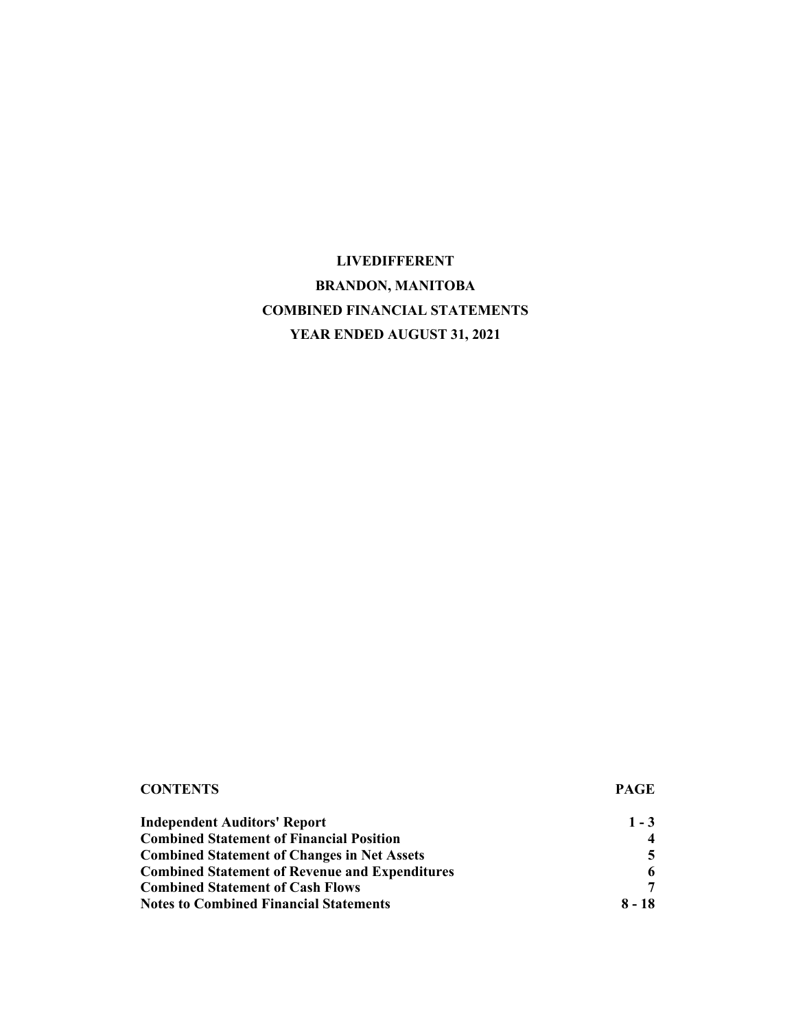# **LIVEDIFFERENT BRANDON, MANITOBA COMBINED FINANCIAL STATEMENTS YEAR ENDED AUGUST 31, 2021**

| <b>CONTENTS</b>                                       | <b>PAGE</b> |
|-------------------------------------------------------|-------------|
| <b>Independent Auditors' Report</b>                   | $1 - 3$     |
| <b>Combined Statement of Financial Position</b>       |             |
| <b>Combined Statement of Changes in Net Assets</b>    |             |
| <b>Combined Statement of Revenue and Expenditures</b> |             |
| <b>Combined Statement of Cash Flows</b>               |             |
| <b>Notes to Combined Financial Statements</b>         | 8 - 18      |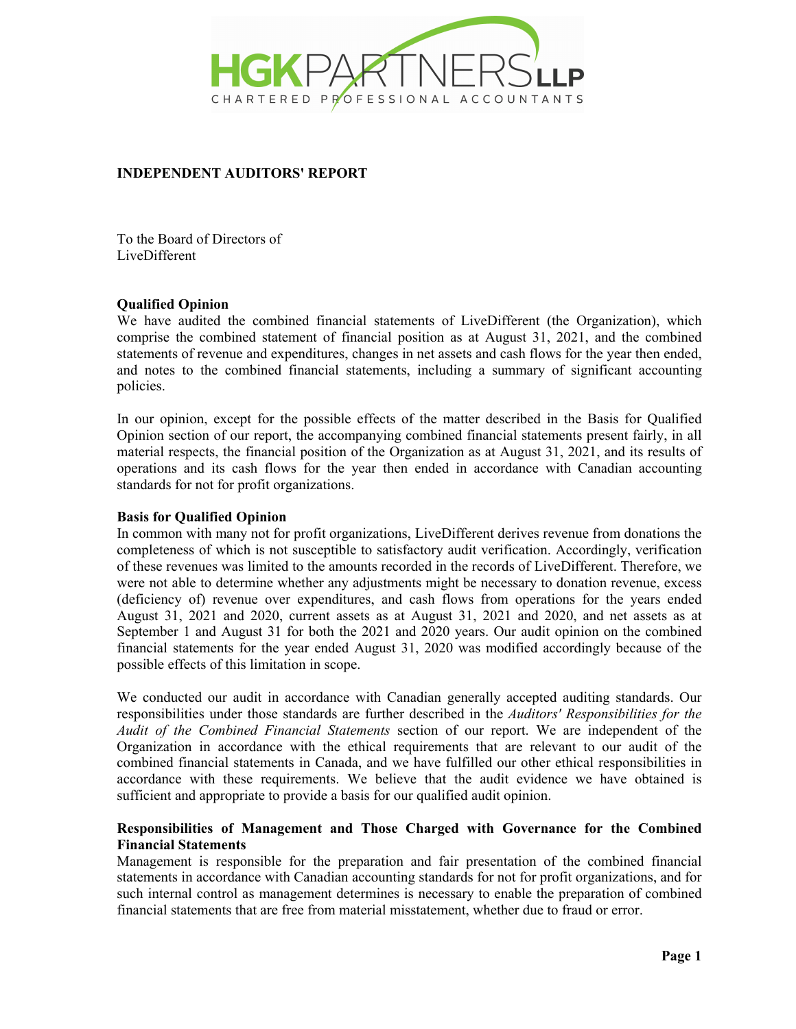

## **INDEPENDENT AUDITORS' REPORT**

To the Board of Directors of LiveDifferent

#### **Qualified Opinion**

We have audited the combined financial statements of LiveDifferent (the Organization), which comprise the combined statement of financial position as at August 31, 2021, and the combined statements of revenue and expenditures, changes in net assets and cash flows for the year then ended, and notes to the combined financial statements, including a summary of significant accounting policies.

In our opinion, except for the possible effects of the matter described in the Basis for Qualified Opinion section of our report, the accompanying combined financial statements present fairly, in all material respects, the financial position of the Organization as at August 31, 2021, and its results of operations and its cash flows for the year then ended in accordance with Canadian accounting standards for not for profit organizations.

#### **Basis for Qualified Opinion**

In common with many not for profit organizations, LiveDifferent derives revenue from donations the completeness of which is not susceptible to satisfactory audit verification. Accordingly, verification of these revenues was limited to the amounts recorded in the records of LiveDifferent. Therefore, we were not able to determine whether any adjustments might be necessary to donation revenue, excess (deficiency of) revenue over expenditures, and cash flows from operations for the years ended August 31, 2021 and 2020, current assets as at August 31, 2021 and 2020, and net assets as at September 1 and August 31 for both the 2021 and 2020 years. Our audit opinion on the combined financial statements for the year ended August 31, 2020 was modified accordingly because of the possible effects of this limitation in scope.

We conducted our audit in accordance with Canadian generally accepted auditing standards. Our responsibilities under those standards are further described in the *Auditors' Responsibilities for the Audit of the Combined Financial Statements* section of our report. We are independent of the Organization in accordance with the ethical requirements that are relevant to our audit of the combined financial statements in Canada, and we have fulfilled our other ethical responsibilities in accordance with these requirements. We believe that the audit evidence we have obtained is sufficient and appropriate to provide a basis for our qualified audit opinion.

## **Responsibilities of Management and Those Charged with Governance for the Combined Financial Statements**

Management is responsible for the preparation and fair presentation of the combined financial statements in accordance with Canadian accounting standards for not for profit organizations, and for such internal control as management determines is necessary to enable the preparation of combined financial statements that are free from material misstatement, whether due to fraud or error.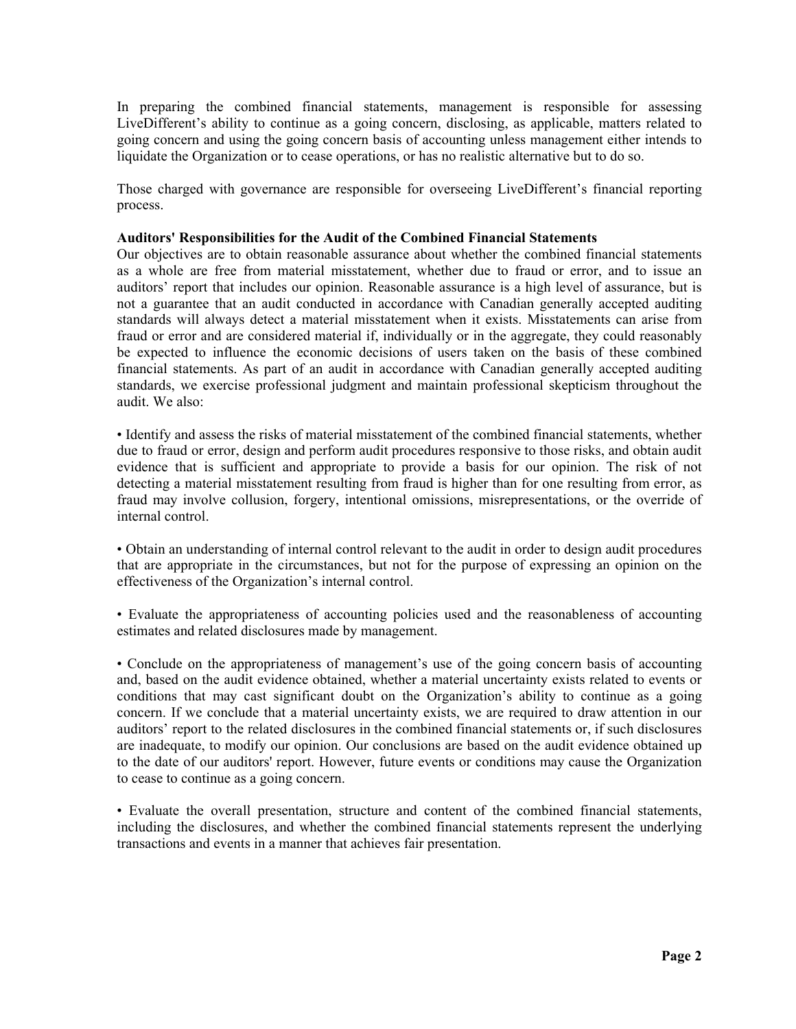In preparing the combined financial statements, management is responsible for assessing LiveDifferent's ability to continue as a going concern, disclosing, as applicable, matters related to going concern and using the going concern basis of accounting unless management either intends to liquidate the Organization or to cease operations, or has no realistic alternative but to do so.

Those charged with governance are responsible for overseeing LiveDifferent's financial reporting process.

#### **Auditors' Responsibilities for the Audit of the Combined Financial Statements**

Our objectives are to obtain reasonable assurance about whether the combined financial statements as a whole are free from material misstatement, whether due to fraud or error, and to issue an auditors' report that includes our opinion. Reasonable assurance is a high level of assurance, but is not a guarantee that an audit conducted in accordance with Canadian generally accepted auditing standards will always detect a material misstatement when it exists. Misstatements can arise from fraud or error and are considered material if, individually or in the aggregate, they could reasonably be expected to influence the economic decisions of users taken on the basis of these combined financial statements. As part of an audit in accordance with Canadian generally accepted auditing standards, we exercise professional judgment and maintain professional skepticism throughout the audit. We also:

• Identify and assess the risks of material misstatement of the combined financial statements, whether due to fraud or error, design and perform audit procedures responsive to those risks, and obtain audit evidence that is sufficient and appropriate to provide a basis for our opinion. The risk of not detecting a material misstatement resulting from fraud is higher than for one resulting from error, as fraud may involve collusion, forgery, intentional omissions, misrepresentations, or the override of internal control.

• Obtain an understanding of internal control relevant to the audit in order to design audit procedures that are appropriate in the circumstances, but not for the purpose of expressing an opinion on the effectiveness of the Organization's internal control.

• Evaluate the appropriateness of accounting policies used and the reasonableness of accounting estimates and related disclosures made by management.

• Conclude on the appropriateness of management's use of the going concern basis of accounting and, based on the audit evidence obtained, whether a material uncertainty exists related to events or conditions that may cast significant doubt on the Organization's ability to continue as a going concern. If we conclude that a material uncertainty exists, we are required to draw attention in our auditors' report to the related disclosures in the combined financial statements or, if such disclosures are inadequate, to modify our opinion. Our conclusions are based on the audit evidence obtained up to the date of our auditors' report. However, future events or conditions may cause the Organization to cease to continue as a going concern.

• Evaluate the overall presentation, structure and content of the combined financial statements, including the disclosures, and whether the combined financial statements represent the underlying transactions and events in a manner that achieves fair presentation.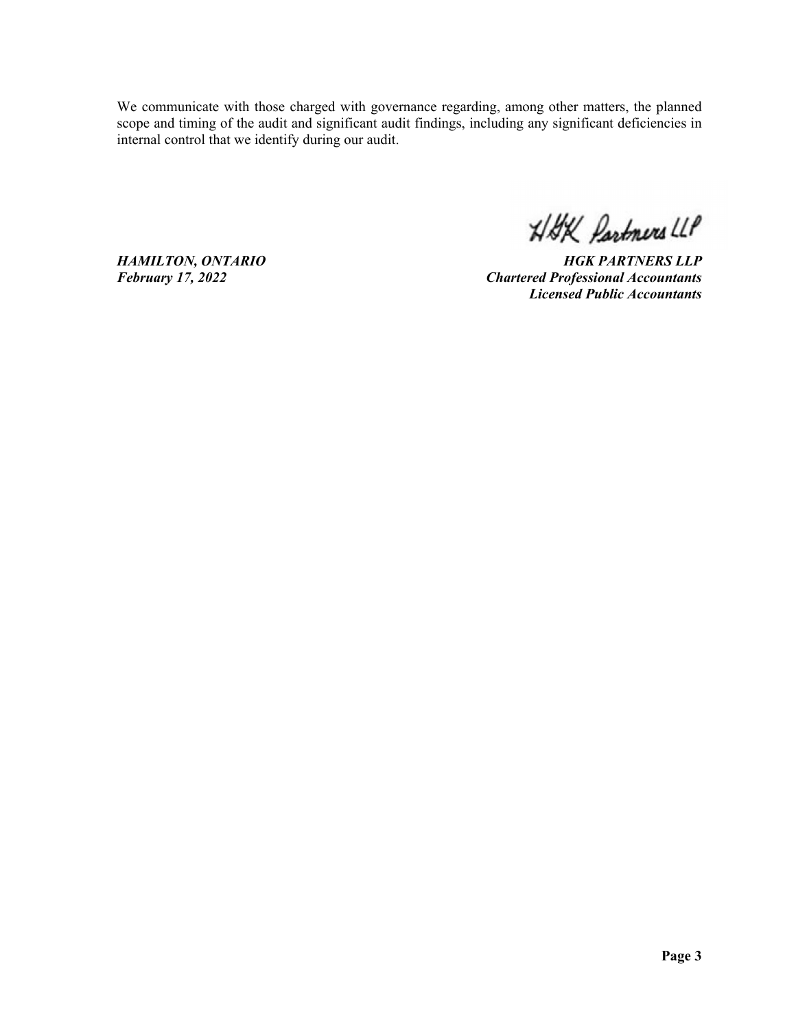We communicate with those charged with governance regarding, among other matters, the planned scope and timing of the audit and significant audit findings, including any significant deficiencies in internal control that we identify during our audit.

HAK Partners LLP

*HAMILTON, ONTARIO HGK PARTNERS LLP February 17, 2022 Chartered Professional Accountants Licensed Public Accountants*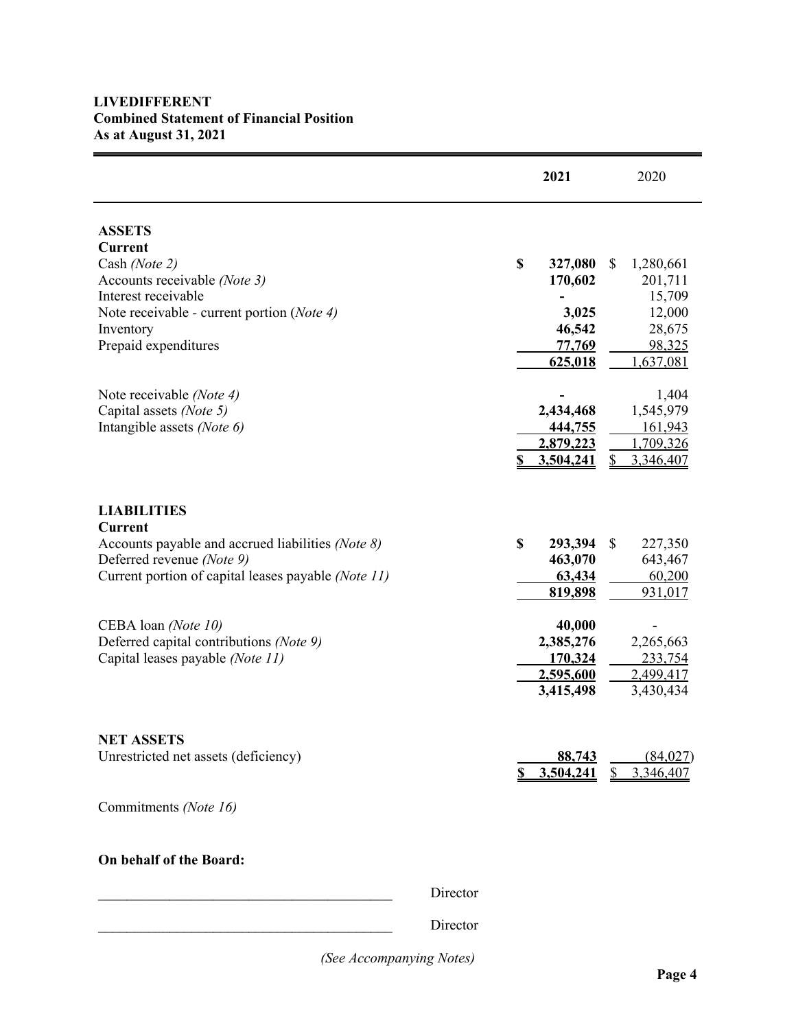# **LIVEDIFFERENT Combined Statement of Financial Position As at August 31, 2021**

 $\equiv$ 

|                                                                                                                                                                                            |          |    | 2021                                                       |              | 2020                                                                      |
|--------------------------------------------------------------------------------------------------------------------------------------------------------------------------------------------|----------|----|------------------------------------------------------------|--------------|---------------------------------------------------------------------------|
| <b>ASSETS</b><br><b>Current</b><br>Cash (Note 2)<br>Accounts receivable (Note 3)<br>Interest receivable<br>Note receivable - current portion (Note 4)<br>Inventory<br>Prepaid expenditures |          | \$ | 327,080<br>170,602<br>3,025<br>46,542<br>77,769<br>625,018 | \$           | 1,280,661<br>201,711<br>15,709<br>12,000<br>28,675<br>98,325<br>1,637,081 |
| Note receivable (Note 4)<br>Capital assets (Note 5)<br>Intangible assets (Note 6)                                                                                                          |          | \$ | 2,434,468<br>444,755<br>2,879,223<br>3,504,241             | S            | 1,404<br>1,545,979<br>161,943<br>1,709,326<br>3,346,407                   |
| <b>LIABILITIES</b><br><b>Current</b><br>Accounts payable and accrued liabilities (Note 8)<br>Deferred revenue (Note 9)<br>Current portion of capital leases payable (Note 11)              |          | \$ | 293,394<br>463,070<br>63,434<br>819,898                    | \$           | 227,350<br>643,467<br>60,200<br>931,017                                   |
| CEBA loan (Note 10)<br>Deferred capital contributions (Note 9)<br>Capital leases payable (Note 11)                                                                                         |          |    | 40,000<br>2,385,276<br>170,324<br>2,595,600<br>3,415,498   |              | 2,265,663<br>233,754<br>2,499,417<br>3,430,434                            |
| <b>NET ASSETS</b><br>Unrestricted net assets (deficiency)<br>Commitments (Note 16)                                                                                                         |          | S  | 88,743<br>3,504,241                                        | $\mathbb{S}$ | (84,027)<br>3,346,407                                                     |
| On behalf of the Board:                                                                                                                                                                    | Director |    |                                                            |              |                                                                           |

Director

Director

*(See Accompanying Notes)*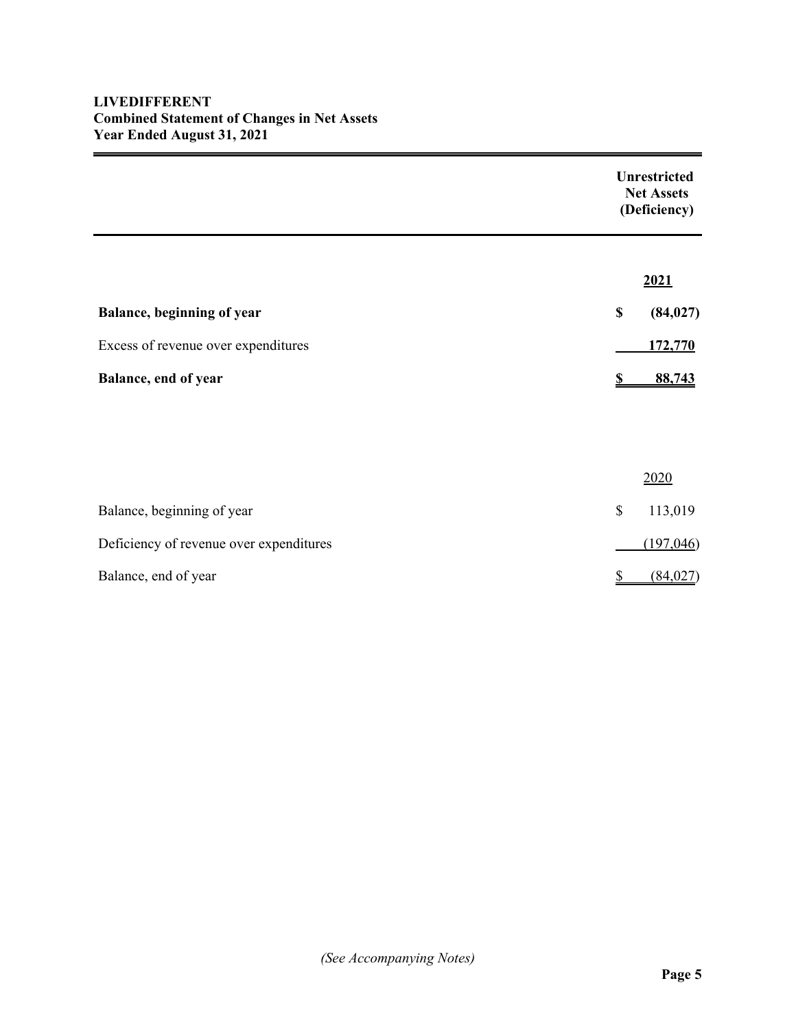# **LIVEDIFFERENT Combined Statement of Changes in Net Assets Year Ended August 31, 2021**

|                                         | <b>Unrestricted</b><br><b>Net Assets</b><br>(Deficiency) |           |
|-----------------------------------------|----------------------------------------------------------|-----------|
|                                         |                                                          | 2021      |
| Balance, beginning of year              | \$                                                       | (84, 027) |
| Excess of revenue over expenditures     |                                                          | 172,770   |
| Balance, end of year                    |                                                          | 88,743    |
|                                         |                                                          |           |
|                                         |                                                          |           |
|                                         |                                                          | 2020      |
| Balance, beginning of year              | \$                                                       | 113,019   |
| Deficiency of revenue over expenditures |                                                          | (197,046) |
| Balance, end of year                    | S                                                        | (84,027)  |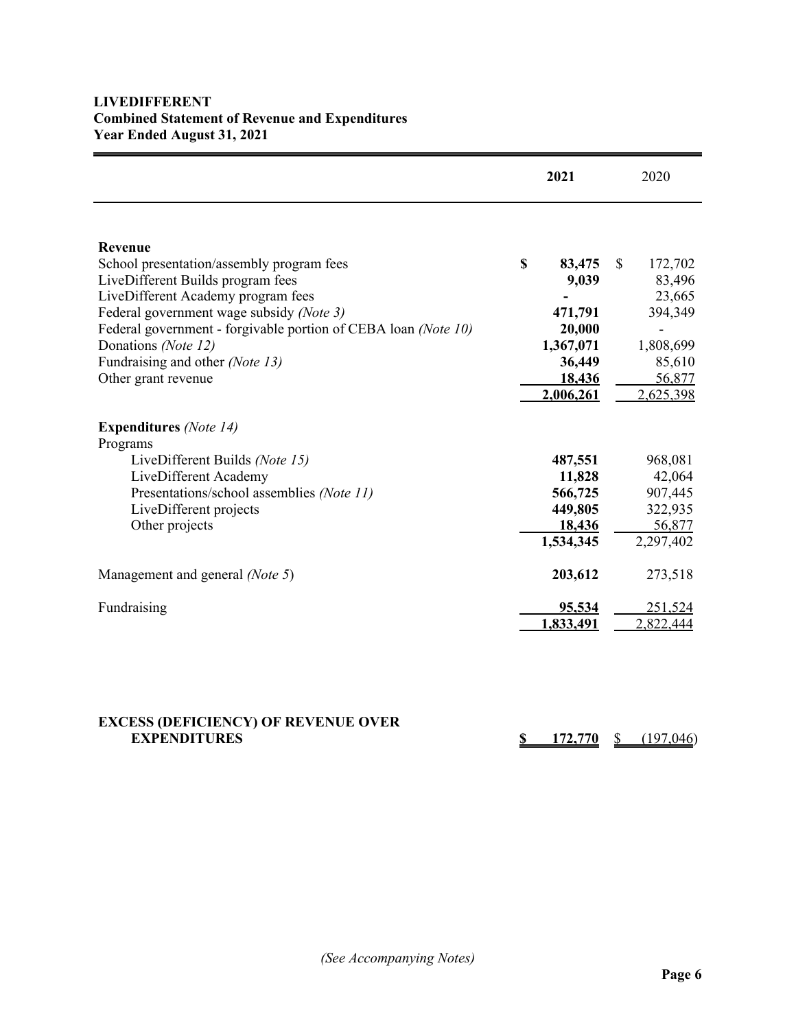# **LIVEDIFFERENT Combined Statement of Revenue and Expenditures Year Ended August 31, 2021**

|                                                                | 2021         | 2020          |
|----------------------------------------------------------------|--------------|---------------|
|                                                                |              |               |
| Revenue                                                        |              |               |
| School presentation/assembly program fees                      | \$<br>83,475 | \$<br>172,702 |
| LiveDifferent Builds program fees                              | 9,039        | 83,496        |
| LiveDifferent Academy program fees                             |              | 23,665        |
| Federal government wage subsidy (Note 3)                       | 471,791      | 394,349       |
| Federal government - forgivable portion of CEBA loan (Note 10) | 20,000       |               |
| Donations (Note 12)                                            | 1,367,071    | 1,808,699     |
| Fundraising and other (Note 13)                                | 36,449       | 85,610        |
| Other grant revenue                                            | 18,436       | 56,877        |
|                                                                | 2,006,261    | 2,625,398     |
| <b>Expenditures</b> (Note 14)<br>Programs                      |              |               |
| LiveDifferent Builds (Note 15)                                 | 487,551      | 968,081       |
| LiveDifferent Academy                                          | 11,828       | 42,064        |
| Presentations/school assemblies (Note 11)                      | 566,725      | 907,445       |
| LiveDifferent projects                                         | 449,805      | 322,935       |
| Other projects                                                 | 18,436       | 56,877        |
|                                                                | 1,534,345    | 2,297,402     |
| Management and general (Note 5)                                | 203,612      | 273,518       |
| Fundraising                                                    | 95,534       | 251,524       |
|                                                                | 1,833,491    | 2,822,444     |

| <b>EACESS (DEFICIERCY) OF REVERUE OVER</b> |         |           |
|--------------------------------------------|---------|-----------|
| <b>EXPENDITURES</b>                        | 172,770 | (197.046) |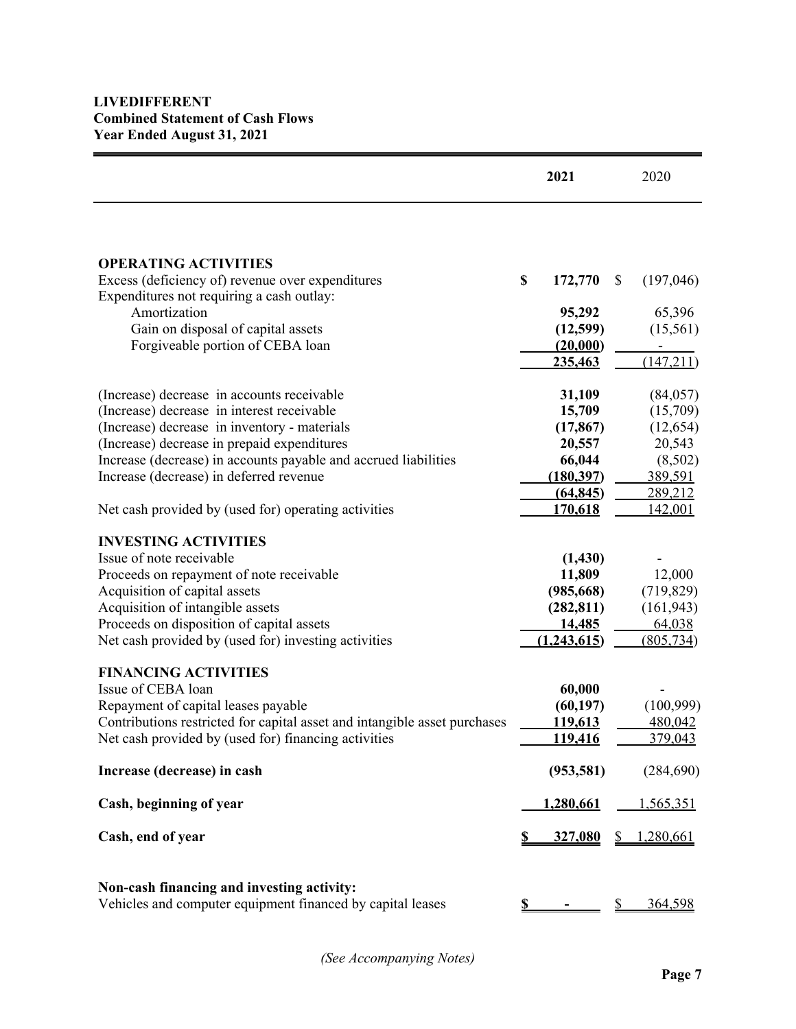|                                                                                                                |    | 2021                         |    | 2020                 |
|----------------------------------------------------------------------------------------------------------------|----|------------------------------|----|----------------------|
|                                                                                                                |    |                              |    |                      |
| <b>OPERATING ACTIVITIES</b>                                                                                    |    |                              |    |                      |
| Excess (deficiency of) revenue over expenditures<br>Expenditures not requiring a cash outlay:                  | \$ | 172,770                      | \$ | (197,046)            |
| Amortization                                                                                                   |    | 95,292                       |    | 65,396               |
| Gain on disposal of capital assets                                                                             |    | (12,599)                     |    | (15,561)             |
| Forgiveable portion of CEBA loan                                                                               |    | (20,000)                     |    |                      |
|                                                                                                                |    | 235,463                      |    | (147,211)            |
| (Increase) decrease in accounts receivable                                                                     |    | 31,109                       |    | (84, 057)            |
| (Increase) decrease in interest receivable                                                                     |    | 15,709                       |    | (15,709)             |
| (Increase) decrease in inventory - materials                                                                   |    | (17, 867)                    |    | (12, 654)            |
| (Increase) decrease in prepaid expenditures<br>Increase (decrease) in accounts payable and accrued liabilities |    | 20,557<br>66,044             |    | 20,543<br>(8,502)    |
| Increase (decrease) in deferred revenue                                                                        |    | (180, 397)                   |    | 389,591              |
|                                                                                                                |    | (64, 845)                    |    | 289,212              |
| Net cash provided by (used for) operating activities                                                           |    | 170,618                      |    | 142,001              |
| <b>INVESTING ACTIVITIES</b>                                                                                    |    |                              |    |                      |
| Issue of note receivable                                                                                       |    | (1, 430)                     |    |                      |
| Proceeds on repayment of note receivable                                                                       |    | 11,809                       |    | 12,000               |
| Acquisition of capital assets                                                                                  |    | (985, 668)                   |    | (719, 829)           |
| Acquisition of intangible assets                                                                               |    | (282, 811)                   |    | (161, 943)           |
| Proceeds on disposition of capital assets<br>Net cash provided by (used for) investing activities              |    | <u>14,485</u><br>(1,243,615) |    | 64,038<br>(805, 734) |
|                                                                                                                |    |                              |    |                      |
| <b>FINANCING ACTIVITIES</b><br>Issue of CEBA loan                                                              |    | 60,000                       |    |                      |
| Repayment of capital leases payable                                                                            |    | (60, 197)                    |    | (100,999)            |
| Contributions restricted for capital asset and intangible asset purchases                                      |    | <u>119,613</u>               |    | 480,042              |
| Net cash provided by (used for) financing activities                                                           |    | <u>119,416</u>               |    | 379,043              |
| Increase (decrease) in cash                                                                                    |    | (953, 581)                   |    | (284, 690)           |
| Cash, beginning of year                                                                                        |    | 1,280,661                    |    | <u>1,565,351</u>     |
| Cash, end of year                                                                                              |    | <u>327,080</u>               | Ÿ. | 1,280,661            |
| Non-cash financing and investing activity:<br>Vehicles and computer equipment financed by capital leases       |    |                              |    | 364,598              |
|                                                                                                                | S. |                              | \$ |                      |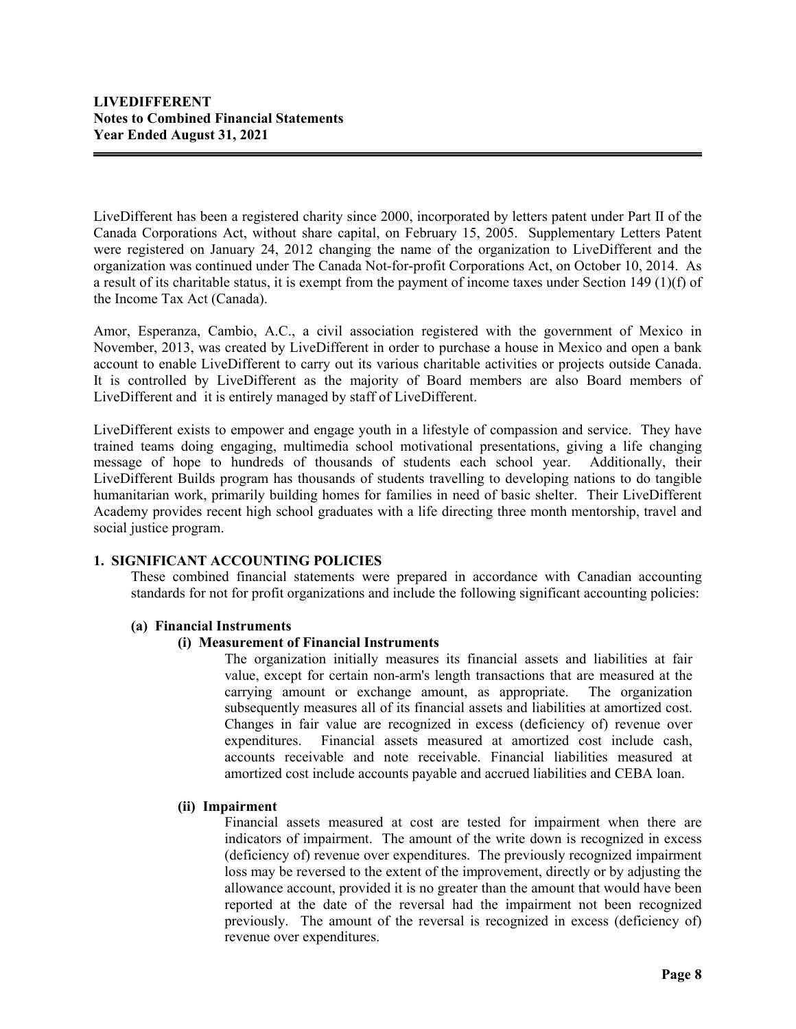LiveDifferent has been a registered charity since 2000, incorporated by letters patent under Part II of the Canada Corporations Act, without share capital, on February 15, 2005. Supplementary Letters Patent were registered on January 24, 2012 changing the name of the organization to LiveDifferent and the organization was continued under The Canada Not-for-profit Corporations Act, on October 10, 2014. As a result of its charitable status, it is exempt from the payment of income taxes under Section 149 (1)(f) of the Income Tax Act (Canada).

Amor, Esperanza, Cambio, A.C., a civil association registered with the government of Mexico in November, 2013, was created by LiveDifferent in order to purchase a house in Mexico and open a bank account to enable LiveDifferent to carry out its various charitable activities or projects outside Canada. It is controlled by LiveDifferent as the majority of Board members are also Board members of LiveDifferent and it is entirely managed by staff of LiveDifferent.

LiveDifferent exists to empower and engage youth in a lifestyle of compassion and service. They have trained teams doing engaging, multimedia school motivational presentations, giving a life changing message of hope to hundreds of thousands of students each school year. Additionally, their LiveDifferent Builds program has thousands of students travelling to developing nations to do tangible humanitarian work, primarily building homes for families in need of basic shelter. Their LiveDifferent Academy provides recent high school graduates with a life directing three month mentorship, travel and social justice program.

# **1. SIGNIFICANT ACCOUNTING POLICIES**

These combined financial statements were prepared in accordance with Canadian accounting standards for not for profit organizations and include the following significant accounting policies:

## **(a) Financial Instruments**

## **(i) Measurement of Financial Instruments**

The organization initially measures its financial assets and liabilities at fair value, except for certain non-arm's length transactions that are measured at the carrying amount or exchange amount, as appropriate. The organization subsequently measures all of its financial assets and liabilities at amortized cost. Changes in fair value are recognized in excess (deficiency of) revenue over expenditures. Financial assets measured at amortized cost include cash, accounts receivable and note receivable. Financial liabilities measured at amortized cost include accounts payable and accrued liabilities and CEBA loan.

## **(ii) Impairment**

Financial assets measured at cost are tested for impairment when there are indicators of impairment. The amount of the write down is recognized in excess (deficiency of) revenue over expenditures. The previously recognized impairment loss may be reversed to the extent of the improvement, directly or by adjusting the allowance account, provided it is no greater than the amount that would have been reported at the date of the reversal had the impairment not been recognized previously. The amount of the reversal is recognized in excess (deficiency of) revenue over expenditures.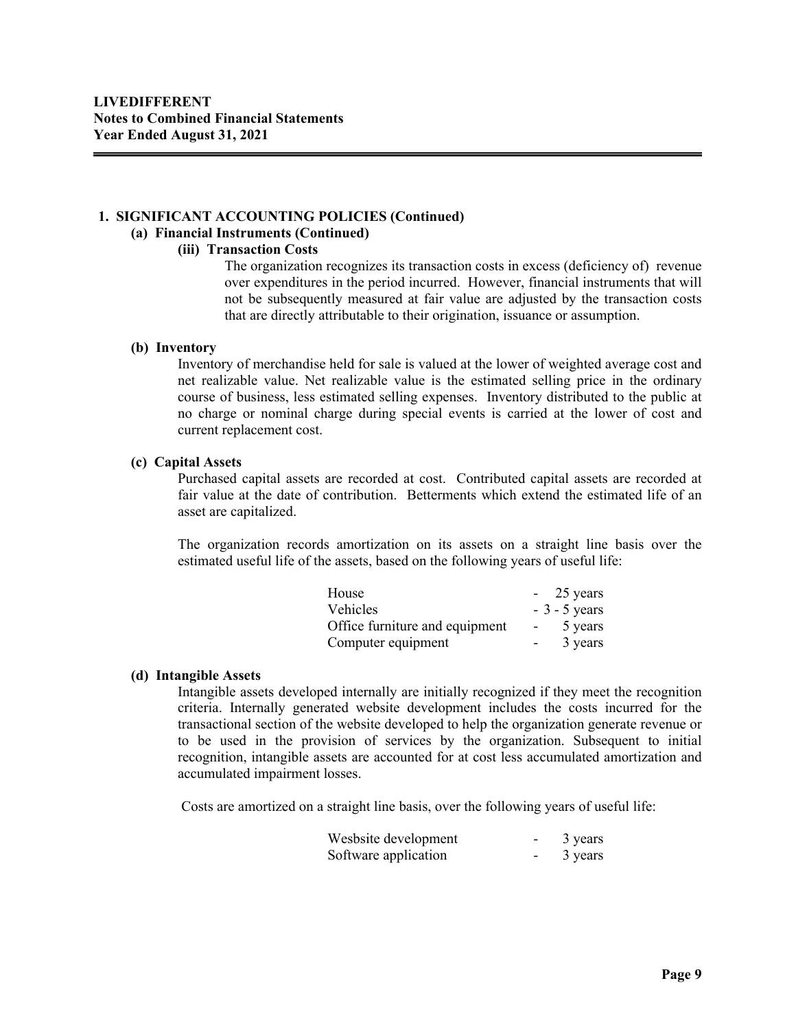# **1. SIGNIFICANT ACCOUNTING POLICIES (Continued)**

# **(a) Financial Instruments (Continued)**

#### **(iii) Transaction Costs**

The organization recognizes its transaction costs in excess (deficiency of) revenue over expenditures in the period incurred. However, financial instruments that will not be subsequently measured at fair value are adjusted by the transaction costs that are directly attributable to their origination, issuance or assumption.

#### **(b) Inventory**

Inventory of merchandise held for sale is valued at the lower of weighted average cost and net realizable value. Net realizable value is the estimated selling price in the ordinary course of business, less estimated selling expenses.Inventory distributed to the public at no charge or nominal charge during special events is carried at the lower of cost and current replacement cost.

#### **(c) Capital Assets**

Purchased capital assets are recorded at cost. Contributed capital assets are recorded at fair value at the date of contribution. Betterments which extend the estimated life of an asset are capitalized.

The organization records amortization on its assets on a straight line basis over the estimated useful life of the assets, based on the following years of useful life:

| House                          |            | $-25$ years    |
|--------------------------------|------------|----------------|
| <b>Vehicles</b>                |            | $-3 - 5$ years |
| Office furniture and equipment | $\sim 100$ | 5 years        |
| Computer equipment             |            | 3 years        |

## **(d) Intangible Assets**

Intangible assets developed internally are initially recognized if they meet the recognition criteria. Internally generated website development includes the costs incurred for the transactional section of the website developed to help the organization generate revenue or to be used in the provision of services by the organization. Subsequent to initial recognition, intangible assets are accounted for at cost less accumulated amortization and accumulated impairment losses.

Costs are amortized on a straight line basis, over the following years of useful life:

| Wesbsite development | $\overline{\phantom{0}}$ | 3 years |
|----------------------|--------------------------|---------|
| Software application | $\overline{\phantom{0}}$ | 3 years |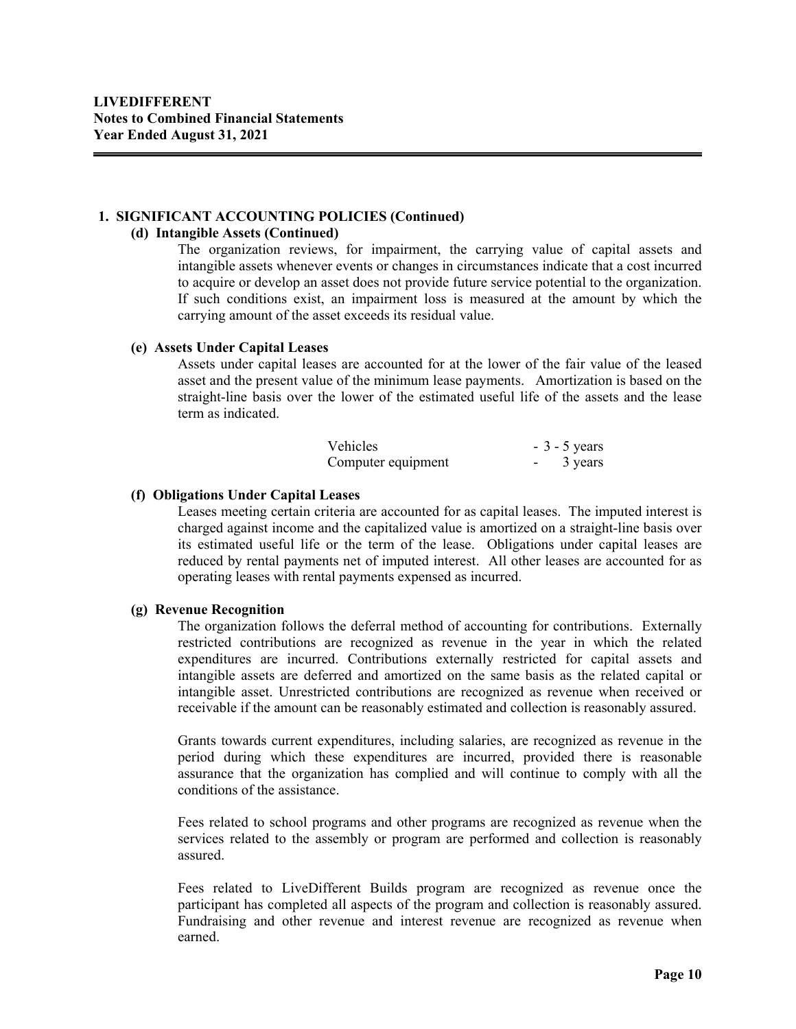#### **1. SIGNIFICANT ACCOUNTING POLICIES (Continued)**

#### **(d) Intangible Assets (Continued)**

The organization reviews, for impairment, the carrying value of capital assets and intangible assets whenever events or changes in circumstances indicate that a cost incurred to acquire or develop an asset does not provide future service potential to the organization. If such conditions exist, an impairment loss is measured at the amount by which the carrying amount of the asset exceeds its residual value.

#### **(e) Assets Under Capital Leases**

Assets under capital leases are accounted for at the lower of the fair value of the leased asset and the present value of the minimum lease payments. Amortization is based on the straight-line basis over the lower of the estimated useful life of the assets and the lease term as indicated.

| <b>Vehicles</b>    | $-3 - 5$ years |
|--------------------|----------------|
| Computer equipment | 3 years        |

#### **(f) Obligations Under Capital Leases**

Leases meeting certain criteria are accounted for as capital leases. The imputed interest is charged against income and the capitalized value is amortized on a straight-line basis over its estimated useful life or the term of the lease. Obligations under capital leases are reduced by rental payments net of imputed interest. All other leases are accounted for as operating leases with rental payments expensed as incurred.

## **(g) Revenue Recognition**

The organization follows the deferral method of accounting for contributions. Externally restricted contributions are recognized as revenue in the year in which the related expenditures are incurred. Contributions externally restricted for capital assets and intangible assets are deferred and amortized on the same basis as the related capital or intangible asset. Unrestricted contributions are recognized as revenue when received or receivable if the amount can be reasonably estimated and collection is reasonably assured.

Grants towards current expenditures, including salaries, are recognized as revenue in the period during which these expenditures are incurred, provided there is reasonable assurance that the organization has complied and will continue to comply with all the conditions of the assistance.

Fees related to school programs and other programs are recognized as revenue when the services related to the assembly or program are performed and collection is reasonably assured.

Fees related to LiveDifferent Builds program are recognized as revenue once the participant has completed all aspects of the program and collection is reasonably assured. Fundraising and other revenue and interest revenue are recognized as revenue when earned.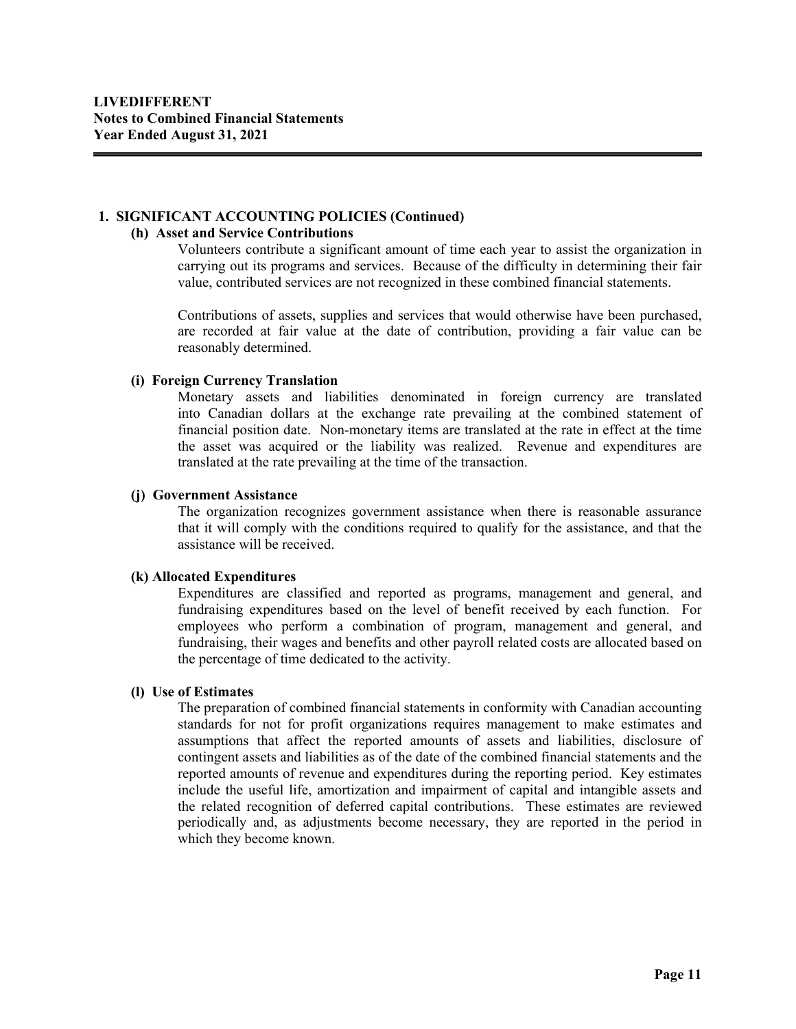#### **1. SIGNIFICANT ACCOUNTING POLICIES (Continued)**

#### **(h) Asset and Service Contributions**

Volunteers contribute a significant amount of time each year to assist the organization in carrying out its programs and services. Because of the difficulty in determining their fair value, contributed services are not recognized in these combined financial statements.

Contributions of assets, supplies and services that would otherwise have been purchased, are recorded at fair value at the date of contribution, providing a fair value can be reasonably determined.

#### **(i) Foreign Currency Translation**

Monetary assets and liabilities denominated in foreign currency are translated into Canadian dollars at the exchange rate prevailing at the combined statement of financial position date. Non-monetary items are translated at the rate in effect at the time the asset was acquired or the liability was realized. Revenue and expenditures are translated at the rate prevailing at the time of the transaction.

#### **(j) Government Assistance**

The organization recognizes government assistance when there is reasonable assurance that it will comply with the conditions required to qualify for the assistance, and that the assistance will be received.

## **(k) Allocated Expenditures**

Expenditures are classified and reported as programs, management and general, and fundraising expenditures based on the level of benefit received by each function. For employees who perform a combination of program, management and general, and fundraising, their wages and benefits and other payroll related costs are allocated based on the percentage of time dedicated to the activity.

## **(l) Use of Estimates**

The preparation of combined financial statements in conformity with Canadian accounting standards for not for profit organizations requires management to make estimates and assumptions that affect the reported amounts of assets and liabilities, disclosure of contingent assets and liabilities as of the date of the combined financial statements and the reported amounts of revenue and expenditures during the reporting period. Key estimates include the useful life, amortization and impairment of capital and intangible assets and the related recognition of deferred capital contributions. These estimates are reviewed periodically and, as adjustments become necessary, they are reported in the period in which they become known.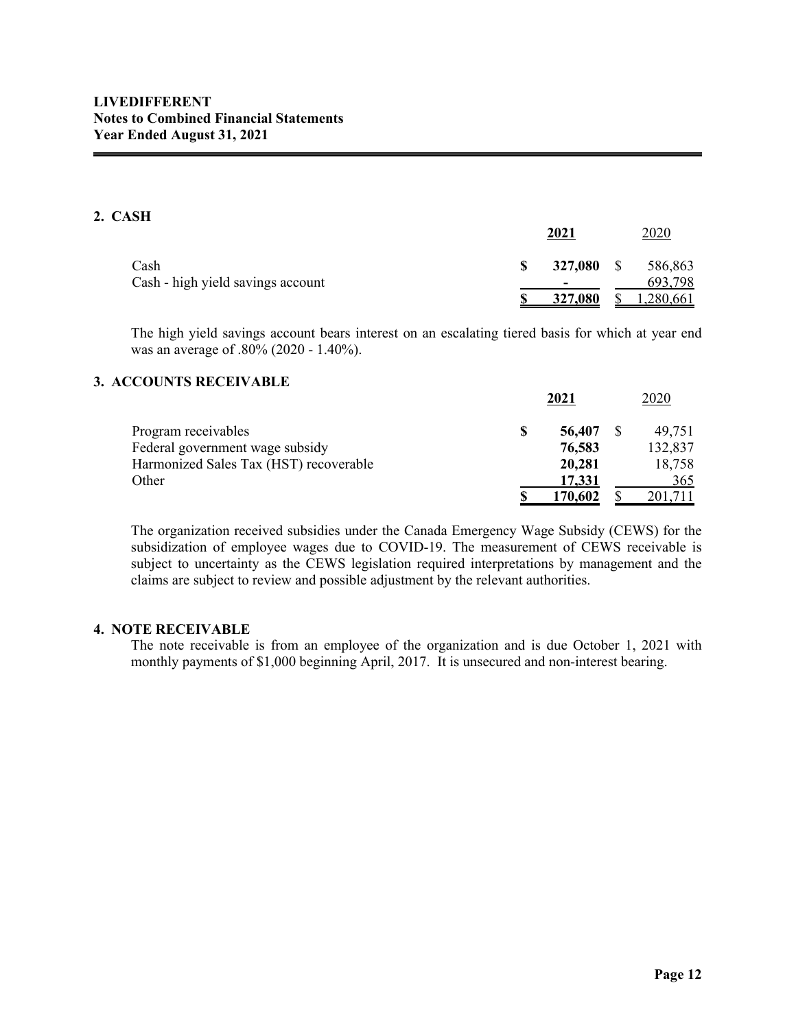# **2. CASH**

|                                   |   | 2021    |              | 2020      |
|-----------------------------------|---|---------|--------------|-----------|
| Cash                              | S | 327,080 | <sup>S</sup> | 586,863   |
| Cash - high yield savings account |   |         |              | 693,798   |
|                                   |   | 327,080 |              | 1,280,661 |

The high yield savings account bears interest on an escalating tiered basis for which at year end was an average of .80% (2020 - 1.40%).

## **3. ACCOUNTS RECEIVABLE**

|                                        |   | $-0 - 1$ | ⊷∽      |
|----------------------------------------|---|----------|---------|
| Program receivables                    | S | 56,407   | 49,751  |
| Federal government wage subsidy        |   | 76,583   | 132,837 |
| Harmonized Sales Tax (HST) recoverable |   | 20,281   | 18,758  |
| Other                                  |   | 17,331   | 365     |
|                                        |   | 170.602  | 201.711 |

The organization received subsidies under the Canada Emergency Wage Subsidy (CEWS) for the subsidization of employee wages due to COVID-19. The measurement of CEWS receivable is subject to uncertainty as the CEWS legislation required interpretations by management and the claims are subject to review and possible adjustment by the relevant authorities.

# **4. NOTE RECEIVABLE**

The note receivable is from an employee of the organization and is due October 1, 2021 with monthly payments of \$1,000 beginning April, 2017. It is unsecured and non-interest bearing.

**2021** 2020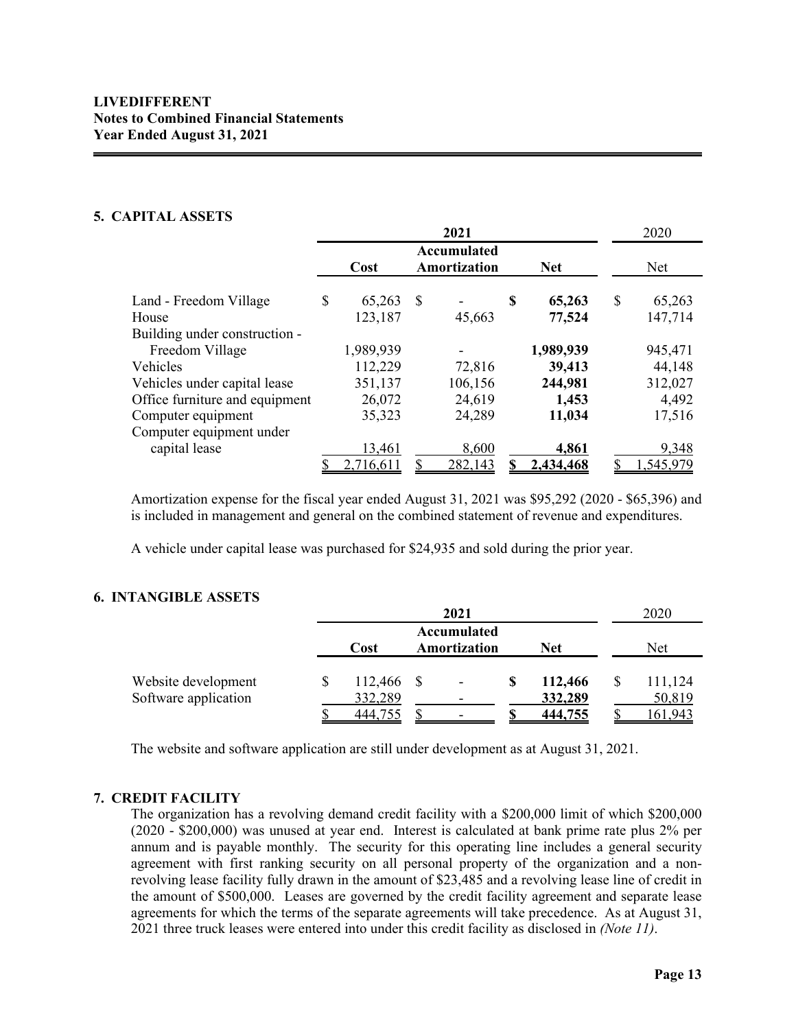## **LIVEDIFFERENT Notes to Combined Financial Statements Year Ended August 31, 2021**

## **5. CAPITAL ASSETS**

|                                |                                     |           |            | 2021    |              | 2020         |
|--------------------------------|-------------------------------------|-----------|------------|---------|--------------|--------------|
|                                | Accumulated<br>Amortization<br>Cost |           | <b>Net</b> |         | Net          |              |
| Land - Freedom Village         | \$                                  | 65,263    | S          |         | \$<br>65,263 | \$<br>65,263 |
| House                          |                                     | 123,187   |            | 45,663  | 77,524       | 147,714      |
| Building under construction -  |                                     |           |            |         |              |              |
| Freedom Village                |                                     | 1,989,939 |            |         | 1,989,939    | 945,471      |
| Vehicles                       |                                     | 112,229   |            | 72,816  | 39,413       | 44,148       |
| Vehicles under capital lease   |                                     | 351,137   |            | 106,156 | 244,981      | 312,027      |
| Office furniture and equipment |                                     | 26,072    |            | 24,619  | 1,453        | 4,492        |
| Computer equipment             |                                     | 35,323    |            | 24,289  | 11,034       | 17,516       |
| Computer equipment under       |                                     |           |            |         |              |              |
| capital lease                  |                                     | 13,461    |            | 8,600   | 4,861        | 9,348        |
|                                |                                     | 2,716,611 |            | 282,143 | 2,434,468    | 1,545,979    |

Amortization expense for the fiscal year ended August 31, 2021 was \$95,292 (2020 - \$65,396) and is included in management and general on the combined statement of revenue and expenditures.

A vehicle under capital lease was purchased for \$24,935 and sold during the prior year.

## **6. INTANGIBLE ASSETS**

|                      |                                                   |      | 2021 |  |         |  | 2020    |
|----------------------|---------------------------------------------------|------|------|--|---------|--|---------|
|                      | Accumulated<br><b>Net</b><br>Amortization<br>Cost |      |      |  | Net     |  |         |
| Website development  | 112,466                                           | - \$ |      |  | 112,466 |  | 111,124 |
| Software application | 332,289                                           |      |      |  | 332,289 |  | 50,819  |
|                      | 444.755                                           |      |      |  | 444,755 |  | 161.943 |

The website and software application are still under development as at August 31, 2021.

## **7. CREDIT FACILITY**

The organization has a revolving demand credit facility with a \$200,000 limit of which \$200,000 (2020 - \$200,000) was unused at year end. Interest is calculated at bank prime rate plus 2% per annum and is payable monthly. The security for this operating line includes a general security agreement with first ranking security on all personal property of the organization and a nonrevolving lease facility fully drawn in the amount of \$23,485 and a revolving lease line of credit in the amount of \$500,000. Leases are governed by the credit facility agreement and separate lease agreements for which the terms of the separate agreements will take precedence. As at August 31, 2021 three truck leases were entered into under this credit facility as disclosed in *(Note 11)*.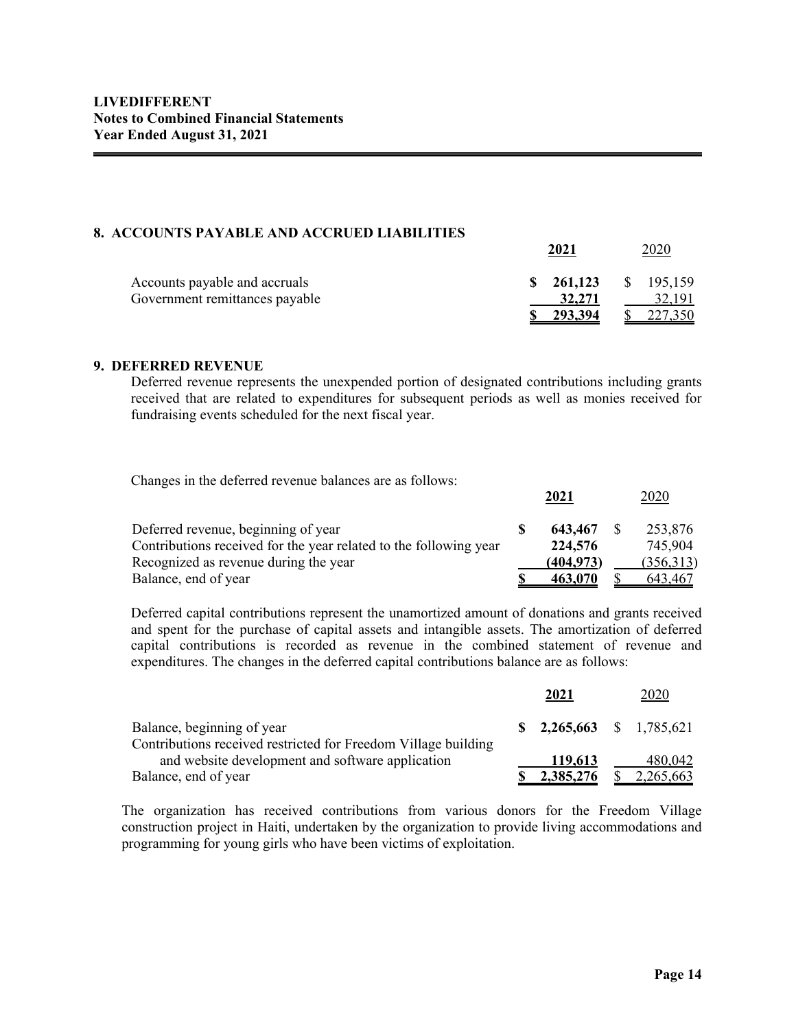#### **8. ACCOUNTS PAYABLE AND ACCRUED LIABILITIES**

|                                | 2021                 | 2020      |
|--------------------------------|----------------------|-----------|
| Accounts payable and accruals  | $\frac{\$}{261,123}$ | \$195,159 |
| Government remittances payable | 32,271               | 32,191    |
|                                | 293,394              | 227,350   |

#### **9. DEFERRED REVENUE**

Deferred revenue represents the unexpended portion of designated contributions including grants received that are related to expenditures for subsequent periods as well as monies received for fundraising events scheduled for the next fiscal year.

Changes in the deferred revenue balances are as follows:

|                                                                   | 2021       | <u> 2020</u> |
|-------------------------------------------------------------------|------------|--------------|
| Deferred revenue, beginning of year                               | 643,467    | 253,876      |
| Contributions received for the year related to the following year | 224,576    | 745.904      |
| Recognized as revenue during the year                             | (404, 973) | (356,313)    |
| Balance, end of year                                              | 463.070    | 643,467      |

Deferred capital contributions represent the unamortized amount of donations and grants received and spent for the purchase of capital assets and intangible assets. The amortization of deferred capital contributions is recorded as revenue in the combined statement of revenue and expenditures. The changes in the deferred capital contributions balance are as follows:

|                                                                | 2021                                          | 2020      |
|----------------------------------------------------------------|-----------------------------------------------|-----------|
| Balance, beginning of year                                     | $\textbf{S}$ 2,265,663 $\textbf{S}$ 1,785,621 |           |
| Contributions received restricted for Freedom Village building |                                               |           |
| and website development and software application               | 119,613                                       | 480,042   |
| Balance, end of year                                           | 2,385,276                                     | 2,265,663 |

The organization has received contributions from various donors for the Freedom Village construction project in Haiti, undertaken by the organization to provide living accommodations and programming for young girls who have been victims of exploitation.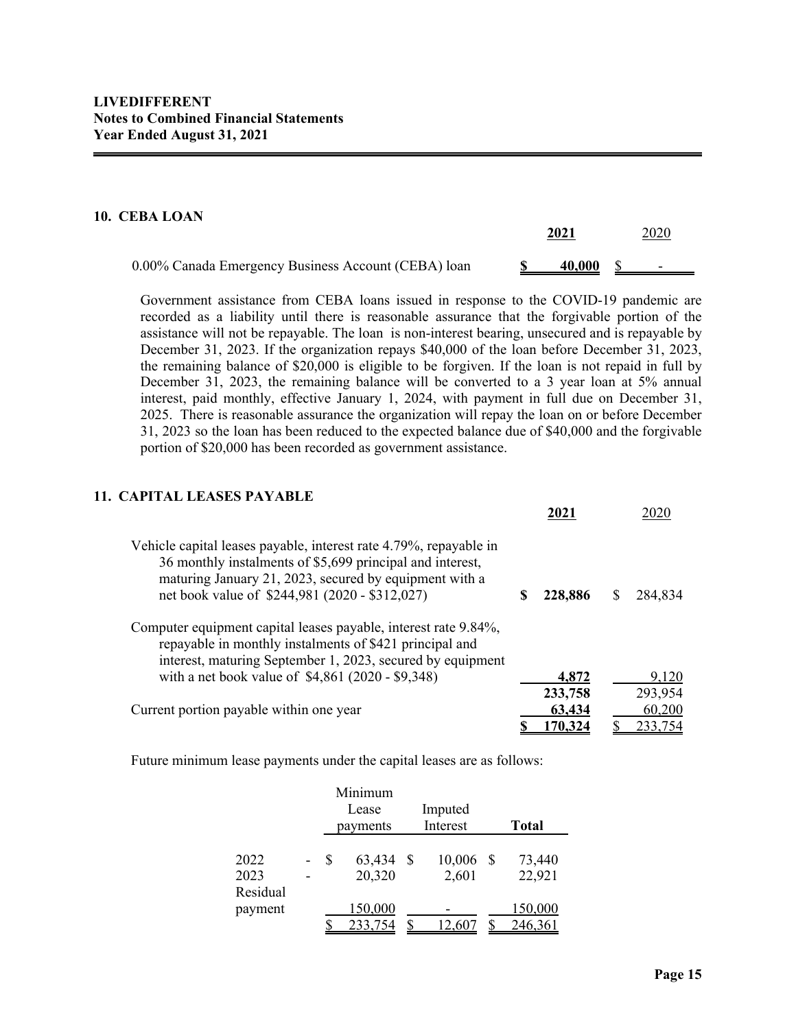#### **10. CEBA LOAN**

| ------------                                        | 2021 |                         |  | 2020                     |  |  |
|-----------------------------------------------------|------|-------------------------|--|--------------------------|--|--|
| 0.00% Canada Emergency Business Account (CEBA) loan |      | $\underline{40,000}$ \$ |  | $\overline{\phantom{0}}$ |  |  |

Government assistance from CEBA loans issued in response to the COVID-19 pandemic are recorded as a liability until there is reasonable assurance that the forgivable portion of the assistance will not be repayable. The loan is non-interest bearing, unsecured and is repayable by December 31, 2023. If the organization repays \$40,000 of the loan before December 31, 2023, the remaining balance of \$20,000 is eligible to be forgiven. If the loan is not repaid in full by December 31, 2023, the remaining balance will be converted to a 3 year loan at 5% annual interest, paid monthly, effective January 1, 2024, with payment in full due on December 31, 2025. There is reasonable assurance the organization will repay the loan on or before December 31, 2023 so the loan has been reduced to the expected balance due of \$40,000 and the forgivable portion of \$20,000 has been recorded as government assistance.

# **11. CAPITAL LEASES PAYABLE**

|                                                                                                                                                                                                                                            | 202     |         |
|--------------------------------------------------------------------------------------------------------------------------------------------------------------------------------------------------------------------------------------------|---------|---------|
| Vehicle capital leases payable, interest rate 4.79%, repayable in<br>36 monthly instalments of \$5,699 principal and interest,<br>maturing January 21, 2023, secured by equipment with a<br>net book value of \$244,981 (2020 - \$312,027) | 228,886 | 284,834 |
| Computer equipment capital leases payable, interest rate 9.84%,<br>repayable in monthly instalments of \$421 principal and<br>interest, maturing September 1, 2023, secured by equipment                                                   |         |         |
| with a net book value of \$4,861 (2020 - \$9,348)                                                                                                                                                                                          | 4,872   | 9,120   |
|                                                                                                                                                                                                                                            | 233,758 | 293,954 |
| Current portion payable within one year                                                                                                                                                                                                    | 63,434  | 60,200  |
|                                                                                                                                                                                                                                            | 170,324 | 233,754 |

Future minimum lease payments under the capital leases are as follows:

|          |    | Minimum  |         |          |    |              |
|----------|----|----------|---------|----------|----|--------------|
|          |    | Lease    | Imputed |          |    |              |
|          |    | payments |         | Interest |    | <b>Total</b> |
|          |    |          |         |          |    |              |
| 2022     | \$ | 63,434   | S       | 10,006   | -S | 73,440       |
| 2023     |    | 20,320   |         | 2,601    |    | 22,921       |
| Residual |    |          |         |          |    |              |
| payment  |    | 150,000  |         |          |    | 150,000      |
|          |    | 233,754  |         | 12,60    |    | 246,361      |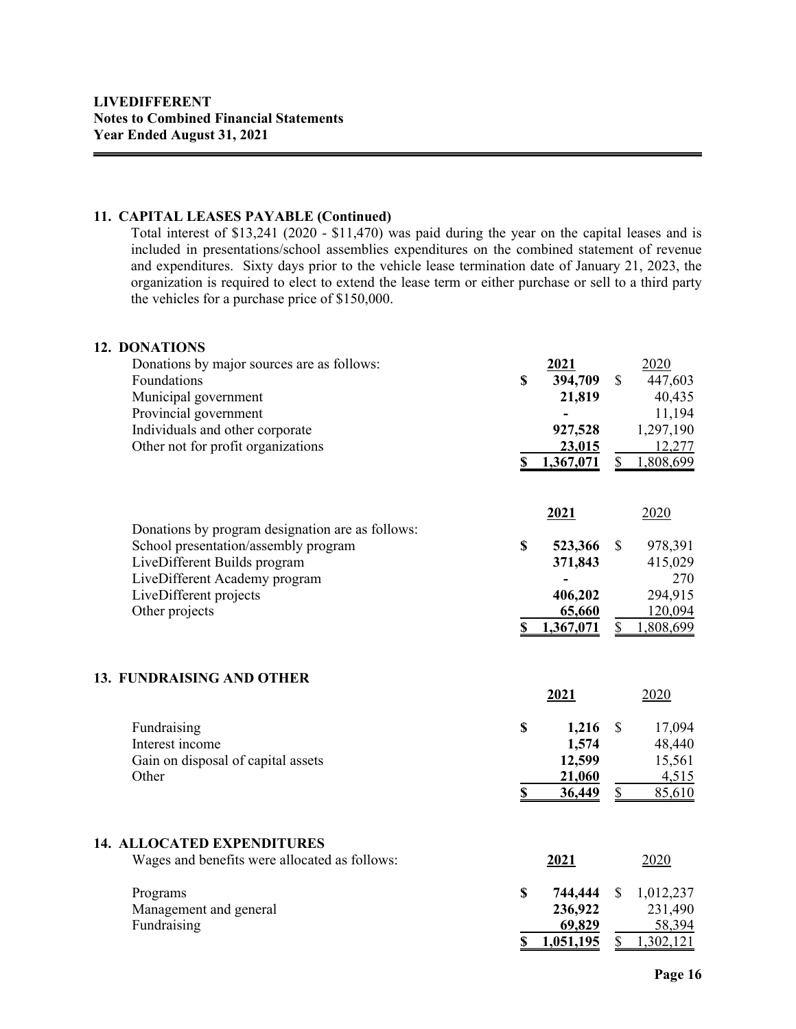## **11. CAPITAL LEASES PAYABLE (Continued)**

Total interest of \$13,241 (2020 - \$11,470) was paid during the year on the capital leases and is included in presentations/school assemblies expenditures on the combined statement of revenue and expenditures. Sixty days prior to the vehicle lease termination date of January 21, 2023, the organization is required to elect to extend the lease term or either purchase or sell to a third party the vehicles for a purchase price of \$150,000.

#### **12. DONATIONS**

| Donations by major sources are as follows:<br>Foundations<br>Municipal government<br>Provincial government<br>Individuals and other corporate<br>Other not for profit organizations                   | \$<br>\$         | 2021<br>394,709<br>21,819<br>927,528<br><u>23,015</u><br>1,367,071 | $\mathbb{S}$<br>\$ | 2020<br>447,603<br>40,435<br>11,194<br>1,297,190<br>12,277<br>1,808,699 |
|-------------------------------------------------------------------------------------------------------------------------------------------------------------------------------------------------------|------------------|--------------------------------------------------------------------|--------------------|-------------------------------------------------------------------------|
| Donations by program designation are as follows:<br>School presentation/assembly program<br>LiveDifferent Builds program<br>LiveDifferent Academy program<br>LiveDifferent projects<br>Other projects | $\mathbf S$<br>S | 2021<br>523,366<br>371,843<br>406,202<br>65,660<br>1,367,071       | \$<br>\$           | 2020<br>978,391<br>415,029<br>270<br>294,915<br>120,094<br>1,808,699    |
| <b>13. FUNDRAISING AND OTHER</b>                                                                                                                                                                      |                  | 2021                                                               |                    | 2020                                                                    |
| Fundraising<br>Interest income<br>Gain on disposal of capital assets<br>Other                                                                                                                         | \$               | 1,216<br>1,574<br>12,599<br>21,060<br>36,449                       | \$<br>\$           | 17,094<br>48,440<br>15,561<br>4,515<br>85,610                           |
| <b>14. ALLOCATED EXPENDITURES</b><br>Wages and benefits were allocated as follows:                                                                                                                    |                  | 2021                                                               |                    | 2020                                                                    |
| Programs<br>Management and general<br>Fundraising                                                                                                                                                     | \$<br>\$         | 744,444<br>236,922<br>69,829<br>1,051,195                          | \$<br>\$           | 1,012,237<br>231,490<br>58,394<br>1,302,121                             |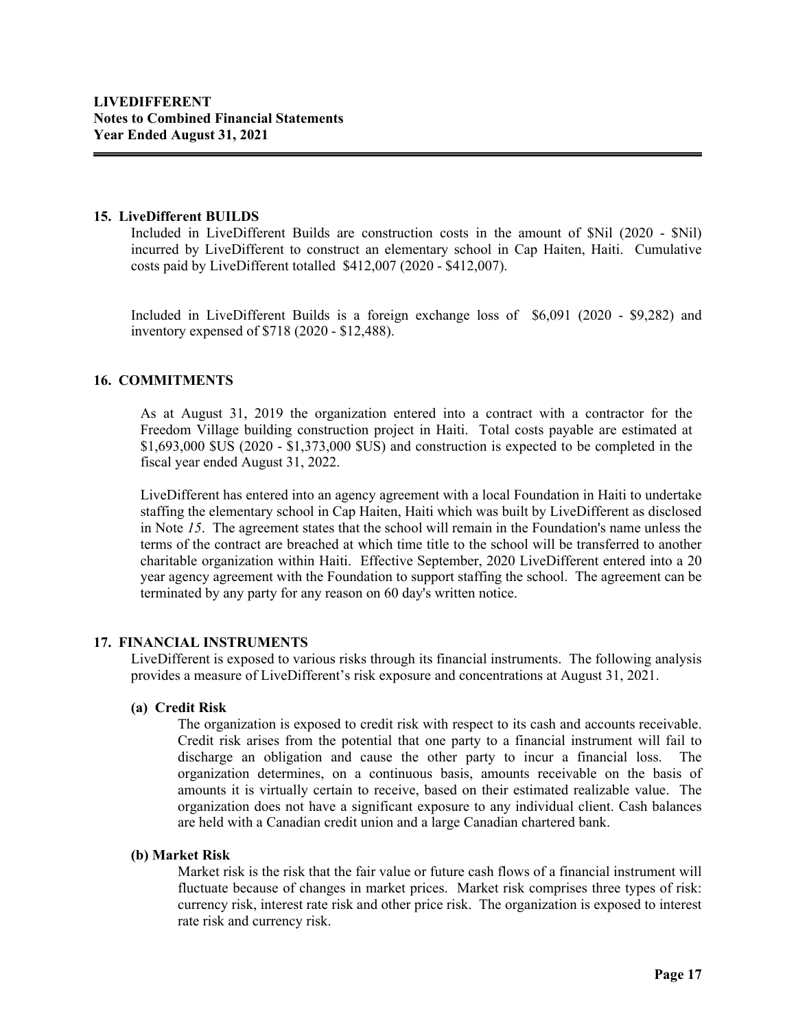#### **15. LiveDifferent BUILDS**

Included in LiveDifferent Builds are construction costs in the amount of \$Nil (2020 - \$Nil) incurred by LiveDifferent to construct an elementary school in Cap Haiten, Haiti. Cumulative costs paid by LiveDifferent totalled \$412,007 (2020 - \$412,007).

Included in LiveDifferent Builds is a foreign exchange loss of \$6,091 (2020 - \$9,282) and inventory expensed of \$718 (2020 - \$12,488).

# **16. COMMITMENTS**

As at August 31, 2019 the organization entered into a contract with a contractor for the Freedom Village building construction project in Haiti. Total costs payable are estimated at \$1,693,000 \$US (2020 - \$1,373,000 \$US) and construction is expected to be completed in the fiscal year ended August 31, 2022.

LiveDifferent has entered into an agency agreement with a local Foundation in Haiti to undertake staffing the elementary school in Cap Haiten, Haiti which was built by LiveDifferent as disclosed in Note *15*. The agreement states that the school will remain in the Foundation's name unless the terms of the contract are breached at which time title to the school will be transferred to another charitable organization within Haiti. Effective September, 2020 LiveDifferent entered into a 20 year agency agreement with the Foundation to support staffing the school. The agreement can be terminated by any party for any reason on 60 day's written notice.

## **17. FINANCIAL INSTRUMENTS**

LiveDifferent is exposed to various risks through its financial instruments. The following analysis provides a measure of LiveDifferent's risk exposure and concentrations at August 31, 2021.

## **(a) Credit Risk**

The organization is exposed to credit risk with respect to its cash and accounts receivable. Credit risk arises from the potential that one party to a financial instrument will fail to discharge an obligation and cause the other party to incur a financial loss. The organization determines, on a continuous basis, amounts receivable on the basis of amounts it is virtually certain to receive, based on their estimated realizable value. The organization does not have a significant exposure to any individual client. Cash balances are held with a Canadian credit union and a large Canadian chartered bank.

#### **(b) Market Risk**

Market risk is the risk that the fair value or future cash flows of a financial instrument will fluctuate because of changes in market prices. Market risk comprises three types of risk: currency risk, interest rate risk and other price risk. The organization is exposed to interest rate risk and currency risk.